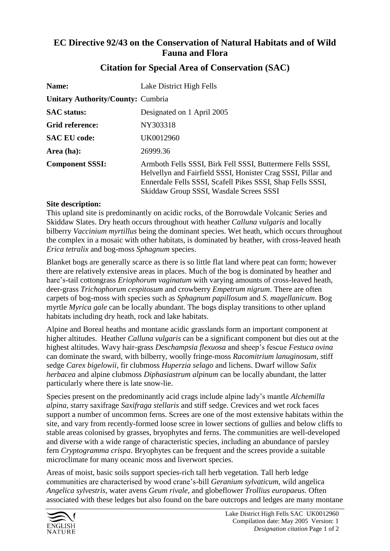## **EC Directive 92/43 on the Conservation of Natural Habitats and of Wild Fauna and Flora**

| Name:                                    | Lake District High Fells                                                                                                                                                                                                            |
|------------------------------------------|-------------------------------------------------------------------------------------------------------------------------------------------------------------------------------------------------------------------------------------|
| <b>Unitary Authority/County: Cumbria</b> |                                                                                                                                                                                                                                     |
| <b>SAC</b> status:                       | Designated on 1 April 2005                                                                                                                                                                                                          |
| Grid reference:                          | NY303318                                                                                                                                                                                                                            |
| <b>SAC EU code:</b>                      | UK0012960                                                                                                                                                                                                                           |
| Area (ha):                               | 26999.36                                                                                                                                                                                                                            |
| <b>Component SSSI:</b>                   | Armboth Fells SSSI, Birk Fell SSSI, Buttermere Fells SSSI,<br>Helvellyn and Fairfield SSSI, Honister Crag SSSI, Pillar and<br>Ennerdale Fells SSSI, Scafell Pikes SSSI, Shap Fells SSSI,<br>Skiddaw Group SSSI, Wasdale Screes SSSI |

## **Citation for Special Area of Conservation (SAC)**

## **Site description:**

This upland site is predominantly on acidic rocks, of the Borrowdale Volcanic Series and Skiddaw Slates. Dry heath occurs throughout with heather *Calluna vulgaris* and locally bilberry *Vaccinium myrtillus* being the dominant species. Wet heath, which occurs throughout the complex in a mosaic with other habitats, is dominated by heather, with cross-leaved heath *Erica tetralix* and bog-moss *Sphagnum* species.

Blanket bogs are generally scarce as there is so little flat land where peat can form; however there are relatively extensive areas in places. Much of the bog is dominated by heather and hare's-tail cottongrass *Eriophorum vaginatum* with varying amounts of cross-leaved heath, deer-grass *Trichophorum cespitosum* and crowberry *Empetrum nigrum*. There are often carpets of bog-moss with species such as *Sphagnum papillosum* and *S. magellanicum*. Bog myrtle *Myrica gale* can be locally abundant. The bogs display transitions to other upland habitats including dry heath, rock and lake habitats.

Alpine and Boreal heaths and montane acidic grasslands form an important component at higher altitudes. Heather *Calluna vulgaris* can be a significant component but dies out at the highest altitudes. Wavy hair-grass *Deschampsia flexuosa* and sheep's fescue *Festuca ovina* can dominate the sward, with bilberry, woolly fringe-moss *Racomitrium lanuginosum*, stiff sedge *Carex bigelowii*, fir clubmoss *Huperzia selago* and lichens. Dwarf willow *Salix herbacea* and alpine clubmoss *Diphasiastrum alpinum* can be locally abundant, the latter particularly where there is late snow-lie.

Species present on the predominantly acid crags include alpine lady's mantle *Alchemilla alpina*, starry saxifrage *Saxifraga stellaris* and stiff sedge. Crevices and wet rock faces support a number of uncommon ferns. Screes are one of the most extensive habitats within the site, and vary from recently-formed loose scree in lower sections of gullies and below cliffs to stable areas colonised by grasses, bryophytes and ferns. The communities are well-developed and diverse with a wide range of characteristic species, including an abundance of parsley fern *Cryptogramma crispa*. Bryophytes can be frequent and the screes provide a suitable microclimate for many oceanic moss and liverwort species.

Areas of moist, basic soils support species-rich tall herb vegetation. Tall herb ledge communities are characterised by wood crane's-bill *Geranium sylvaticum*, wild angelica *Angelica sylvestris*, water avens *Geum rivale*, and globeflower *Trollius europaeus*. Often associated with these ledges but also found on the bare outcrops and ledges are many montane